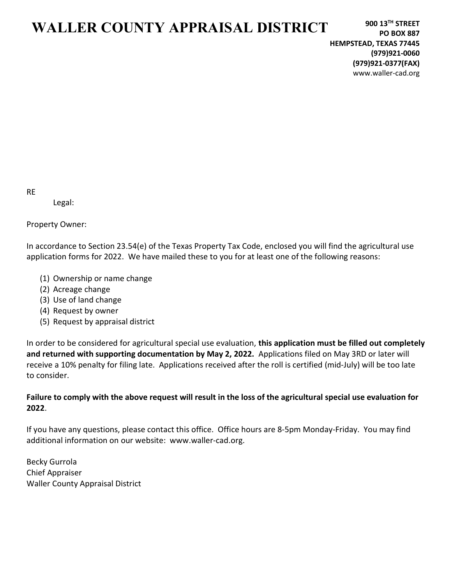## WALLER COUNTY APPRAISAL DISTRICT

RE

Legal:

Property Owner:

In accordance to Section 23.54(e) of the Texas Property Tax Code, enclosed you will find the agricultural use application forms for 2022. We have mailed these to you for at least one of the following reasons:

- (1) Ownership or name change
- (2) Acreage change
- (3) Use of land change
- (4) Request by owner
- (5) Request by appraisal district

In order to be considered for agricultural special use evaluation, this application must be filled out completely and returned with supporting documentation by May 2, 2022. Applications filed on May 3RD or later will receive a 10% penalty for filing late. Applications received after the roll is certified (mid-July) will be too late to consider.

### Failure to comply with the above request will result in the loss of the agricultural special use evaluation for 2022.

If you have any questions, please contact this office. Office hours are 8-5pm Monday-Friday. You may find additional information on our website: www.waller-cad.org.

Becky Gurrola Chief Appraiser Waller County Appraisal District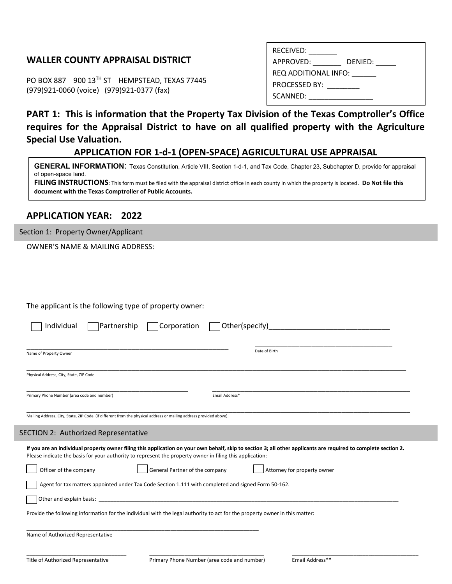### WALLER COUNTY APPRAISAL DISTRICT

PO BOX 887 900 13TH ST HEMPSTEAD, TEXAS 77445 (979)921-0060 (voice) (979)921-0377 (fax)

| RECEIVED:            |
|----------------------|
| APPROVED:<br>DENIED: |
| REQ ADDITIONAL INFO: |
| <b>PROCESSED BY:</b> |
| SCANNED:             |
|                      |

### PART 1: This is information that the Property Tax Division of the Texas Comptroller's Office requires for the Appraisal District to have on all qualified property with the Agriculture Special Use Valuation.

#### APPLICATION FOR 1-d-1 (OPEN-SPACE) AGRICULTURAL USE APPRAISAL

GENERAL INFORMATION: Texas Constitution, Article VIII, Section 1-d-1, and Tax Code, Chapter 23, Subchapter D, provide for appraisal of open-space land. FILING INSTRUCTIONS: This form must be filed with the appraisal district office in each county in which the property is located. Do Not file this

document with the Texas Comptroller of Public Accounts.

### APPLICATION YEAR: 2022

Section 1: Property Owner/Applicant

OWNER'S NAME & MAILING ADDRESS:

The applicant is the following type of property owner:

| Name of Property Owner                                                                                             |                                                                                                                             | Date of Birth                                                                                                                                                   |
|--------------------------------------------------------------------------------------------------------------------|-----------------------------------------------------------------------------------------------------------------------------|-----------------------------------------------------------------------------------------------------------------------------------------------------------------|
|                                                                                                                    |                                                                                                                             |                                                                                                                                                                 |
| Physical Address, City, State, ZIP Code                                                                            |                                                                                                                             |                                                                                                                                                                 |
| Primary Phone Number (area code and number)                                                                        | Email Address*                                                                                                              |                                                                                                                                                                 |
| Mailing Address, City, State, ZIP Code (if different from the physical address or mailing address provided above). |                                                                                                                             |                                                                                                                                                                 |
| SECTION 2: Authorized Representative                                                                               |                                                                                                                             |                                                                                                                                                                 |
|                                                                                                                    |                                                                                                                             |                                                                                                                                                                 |
|                                                                                                                    | Please indicate the basis for your authority to represent the property owner in filing this application:                    | If you are an individual property owner filing this application on your own behalf, skip to section 3; all other applicants are required to complete section 2. |
| Officer of the company                                                                                             | General Partner of the company                                                                                              | Attorney for property owner                                                                                                                                     |
|                                                                                                                    | Agent for tax matters appointed under Tax Code Section 1.111 with completed and signed Form 50-162.                         |                                                                                                                                                                 |
|                                                                                                                    |                                                                                                                             |                                                                                                                                                                 |
|                                                                                                                    | Provide the following information for the individual with the legal authority to act for the property owner in this matter: |                                                                                                                                                                 |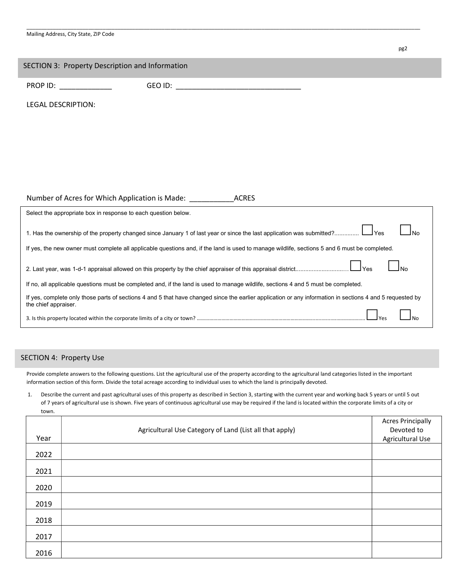| Mailing Address, City State, ZIP Code |  |  |
|---------------------------------------|--|--|
|---------------------------------------|--|--|

| SECTION 3: Property Description and Information                                                                                                                                                                                     |                                                                                                                                                                                                                                |
|-------------------------------------------------------------------------------------------------------------------------------------------------------------------------------------------------------------------------------------|--------------------------------------------------------------------------------------------------------------------------------------------------------------------------------------------------------------------------------|
| <b>PROP ID:</b> The contract of the contract of the contract of the contract of the contract of the contract of the contract of the contract of the contract of the contract of the contract of the contract of the contract of the | GEO ID: A CONTROLLER CONTROLLER CONTROLLER CONTROLLER CONTROLLER CONTROLLER CONTROLLER CONTROLLER CONTROLLER CONTROLLER CONTROLLER CONTROLLER CONTROLLER CONTROLLER CONTROLLER CONTROLLER CONTROLLER CONTROLLER CONTROLLER CON |
| <b>LEGAL DESCRIPTION:</b>                                                                                                                                                                                                           |                                                                                                                                                                                                                                |
|                                                                                                                                                                                                                                     |                                                                                                                                                                                                                                |
|                                                                                                                                                                                                                                     |                                                                                                                                                                                                                                |
|                                                                                                                                                                                                                                     |                                                                                                                                                                                                                                |
|                                                                                                                                                                                                                                     |                                                                                                                                                                                                                                |
|                                                                                                                                                                                                                                     |                                                                                                                                                                                                                                |
| Number of Acres for Which Application is Made: __________                                                                                                                                                                           | <b>ACRES</b>                                                                                                                                                                                                                   |
| Select the appropriate box in response to each question below.                                                                                                                                                                      |                                                                                                                                                                                                                                |
|                                                                                                                                                                                                                                     | ⊿Yes<br>1. Has the ownership of the property changed since January 1 of last year or since the last application was submitted?                                                                                                 |
|                                                                                                                                                                                                                                     | If yes, the new owner must complete all applicable questions and, if the land is used to manage wildlife, sections 5 and 6 must be completed.                                                                                  |
|                                                                                                                                                                                                                                     | $\lrcorner$ Yes<br><b>No</b>                                                                                                                                                                                                   |
|                                                                                                                                                                                                                                     | If no, all applicable questions must be completed and, if the land is used to manage wildlife, sections 4 and 5 must be completed.                                                                                             |
| the chief appraiser.                                                                                                                                                                                                                | If yes, complete only those parts of sections 4 and 5 that have changed since the earlier application or any information in sections 4 and 5 requested by                                                                      |
|                                                                                                                                                                                                                                     |                                                                                                                                                                                                                                |

\_\_\_\_\_\_\_\_\_\_\_\_\_\_\_\_\_\_\_\_\_\_\_\_\_\_\_\_\_\_\_\_\_\_\_\_\_\_\_\_\_\_\_\_\_\_\_\_\_\_\_\_\_\_\_\_\_\_\_\_\_\_\_\_\_\_\_\_\_\_\_\_\_\_\_\_\_\_\_\_\_\_\_\_\_\_\_\_\_\_\_\_\_\_\_\_\_\_\_\_\_\_\_\_\_\_\_\_\_\_\_\_\_\_\_\_\_\_\_\_\_\_\_\_\_\_\_\_\_\_\_\_\_\_

pg2 and the contract of the contract of the contract of the contract of the contract of the contract of the contract of the contract of the contract of the contract of the contract of the contract of the contract of the co

#### SECTION 4: Property Use

Provide complete answers to the following questions. List the agricultural use of the property according to the agricultural land categories listed in the important information section of this form. Divide the total acreage according to individual uses to which the land is principally devoted.

1. Describe the current and past agricultural uses of this property as described in Section 3, starting with the current year and working back 5 years or until 5 out of 7 years of agricultural use is shown. Five years of continuous agricultural use may be required if the land is located within the corporate limits of a city or town.

| Year | Agricultural Use Category of Land (List all that apply) | <b>Acres Principally</b><br>Devoted to<br>Agricultural Use |
|------|---------------------------------------------------------|------------------------------------------------------------|
| 2022 |                                                         |                                                            |
| 2021 |                                                         |                                                            |
| 2020 |                                                         |                                                            |
| 2019 |                                                         |                                                            |
| 2018 |                                                         |                                                            |
| 2017 |                                                         |                                                            |
| 2016 |                                                         |                                                            |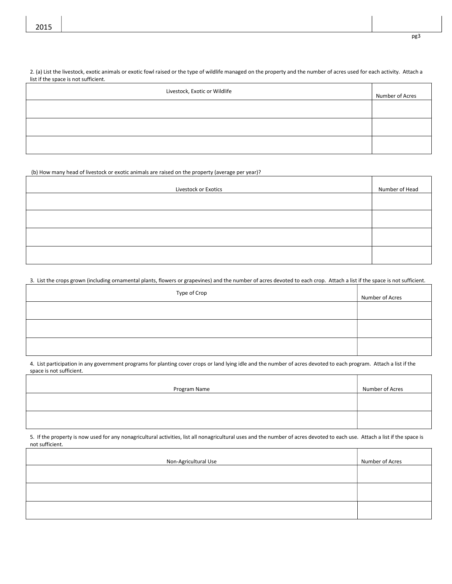2. (a) List the livestock, exotic animals or exotic fowl raised or the type of wildlife managed on the property and the number of acres used for each activity. Attach a list if the space is not sufficient.

| Livestock, Exotic or Wildlife | Number of Acres |
|-------------------------------|-----------------|
|                               |                 |
|                               |                 |
|                               |                 |

(b) How many head of livestock or exotic animals are raised on the property (average per year)?

| Livestock or Exotics | Number of Head |
|----------------------|----------------|
|                      |                |
|                      |                |
|                      |                |
|                      |                |

3. List the crops grown (including ornamental plants, flowers or grapevines) and the number of acres devoted to each crop. Attach a list if the space is not sufficient.

| Type of Crop | Number of Acres |
|--------------|-----------------|
|              |                 |
|              |                 |
|              |                 |

4. List participation in any government programs for planting cover crops or land lying idle and the number of acres devoted to each program. Attach a list if the space is not sufficient.

| Program Name | Number of Acres |
|--------------|-----------------|
|              |                 |
|              |                 |

5. If the property is now used for any nonagricultural activities, list all nonagricultural uses and the number of acres devoted to each use. Attach a list if the space is not sufficient.

| Non-Agricultural Use | Number of Acres |
|----------------------|-----------------|
|                      |                 |
|                      |                 |
|                      |                 |

pg3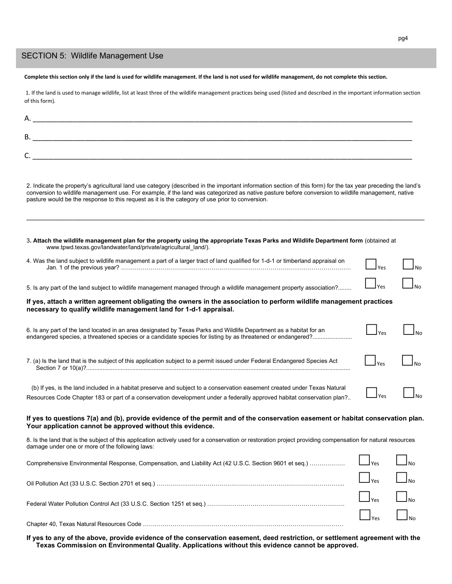#### SECTION 5: Wildlife Management Use

Complete this section only if the land is used for wildlife management. If the land is not used for wildlife management, do not complete this section.

 1. If the land is used to manage wildlife, list at least three of the wildlife management practices being used (listed and described in the important information section of this form).

| Α.      |  |
|---------|--|
|         |  |
| В.      |  |
|         |  |
| ∽<br>J. |  |

2. Indicate the property's agricultural land use category (described in the important information section of this form) for the tax year preceding the land's conversion to wildlife management use. For example, if the land was categorized as native pasture before conversion to wildlife management, native pasture would be the response to this request as it is the category of use prior to conversion.

 $\mathcal{L}_\mathcal{L} = \{ \mathcal{L}_\mathcal{L} = \{ \mathcal{L}_\mathcal{L} = \{ \mathcal{L}_\mathcal{L} = \{ \mathcal{L}_\mathcal{L} = \{ \mathcal{L}_\mathcal{L} = \{ \mathcal{L}_\mathcal{L} = \{ \mathcal{L}_\mathcal{L} = \{ \mathcal{L}_\mathcal{L} = \{ \mathcal{L}_\mathcal{L} = \{ \mathcal{L}_\mathcal{L} = \{ \mathcal{L}_\mathcal{L} = \{ \mathcal{L}_\mathcal{L} = \{ \mathcal{L}_\mathcal{L} = \{ \mathcal{L}_\mathcal{$ 

3. Attach the wildlife management plan for the property using the appropriate Texas Parks and Wildlife Department form (obtained at www.tpwd.texas.gov/landwater/land/private/agricultural\_land/).

| 4. Was the land subject to wildlife management a part of a larger tract of land qualified for 1-d-1 or timberland appraisal on | <b>Nec</b>                                          | $\mathsf{\underline{I}}_{\mathsf{No}}$ |
|--------------------------------------------------------------------------------------------------------------------------------|-----------------------------------------------------|----------------------------------------|
| 5. Is any part of the land subject to wildlife management managed through a wildlife management property association?          | $\mathsf{I}$ $\mathsf{V}$ $\mathsf{P}$ $\mathsf{S}$ | $\mathsf{l}_{\mathsf{No}}$             |

#### If yes, attach a written agreement obligating the owners in the association to perform wildlife management practices necessary to qualify wildlife management land for 1-d-1 appraisal.

| 6. Is any part of the land located in an area designated by Texas Parks and Wildlife Department as a habitat for an | $\Box$ Yes | ⊿No |
|---------------------------------------------------------------------------------------------------------------------|------------|-----|
|                                                                                                                     |            |     |

| 7. (a) Is the land that is the subiect of this application subiect to a permit issued under Federal Endangered Species Act<br>Section / or 10(a) <sup>7</sup> |  |  |
|---------------------------------------------------------------------------------------------------------------------------------------------------------------|--|--|
|---------------------------------------------------------------------------------------------------------------------------------------------------------------|--|--|

| (b) If yes, is the land included in a habitat preserve and subject to a conservation easement created under Texas Natural |            | $\Box$ <sub>No</sub> |
|---------------------------------------------------------------------------------------------------------------------------|------------|----------------------|
| Resources Code Chapter 183 or part of a conservation development under a federally approved habitat conservation plan?    | $\Box$ Yes |                      |

#### If yes to questions 7(a) and (b), provide evidence of the permit and of the conservation easement or habitat conservation plan. Your application cannot be approved without this evidence.

8. Is the land that is the subject of this application actively used for a conservation or restoration project providing compensation for natural resources damage under one or more of the following laws:

| $Yes$ No                                     |  |
|----------------------------------------------|--|
| $\Box$ $_{\text{Yes}}$ $\Box$ $_{\text{No}}$ |  |
| $\Box$ Yes $\Box$ No.                        |  |

If yes to any of the above, provide evidence of the conservation easement, deed restriction, or settlement agreement with the Texas Commission on Environmental Quality. Applications without this evidence cannot be approved.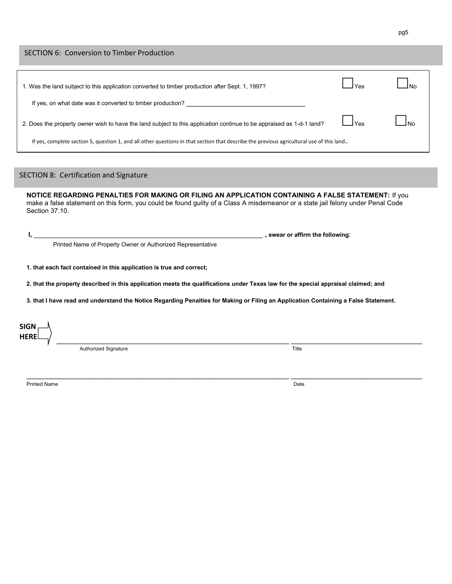#### SECTION 6: Conversion to Timber Production

| 1. Was the land subject to this application converted to timber production after Sept. 1, 1997?                                          |                           | $\mathsf{In}$ |
|------------------------------------------------------------------------------------------------------------------------------------------|---------------------------|---------------|
| If yes, on what date was it converted to timber production?                                                                              |                           |               |
| 2. Does the property owner wish to have the land subject to this application continue to be appraised as 1-d-1 land?                     | $\mathsf{I}_\mathsf{Yes}$ | <u>Ino</u>    |
| If yes, complete section 5, question 1, and all other questions in that section that describe the previous agricultural use of this land |                           |               |

### SECTION 8: Certification and Signature

NOTICE REGARDING PENALTIES FOR MAKING OR FILING AN APPLICATION CONTAINING A FALSE STATEMENT: If you make a false statement on this form, you could be found guilty of a Class A misdemeanor or a state jail felony under Penal Code Section 37.10.

I, \_\_\_\_\_\_\_\_\_\_\_\_\_\_\_\_\_\_\_\_\_\_\_\_\_\_\_\_\_\_\_\_\_\_\_\_\_\_\_\_\_\_\_\_\_\_\_\_\_\_\_\_\_\_\_\_\_\_\_\_\_\_ , swear or affirm the following:

Printed Name of Property Owner or Authorized Representative

1. that each fact contained in this application is true and correct;

2. that the property described in this application meets the qualifications under Texas law for the special appraisal claimed; and

3. that I have read and understand the Notice Regarding Penalties for Making or Filing an Application Containing a False Statement.

 $\blacksquare$ SIGN **HERE** 

Authorized Signature Title

Printed Name Date is a control of the control of the control of the control of the control of the control of the control of the control of the control of the control of the control of the control of the control of the cont

 $\mathcal{L}_\mathcal{L} = \mathcal{L}_\mathcal{L} = \mathcal{L}_\mathcal{L} = \mathcal{L}_\mathcal{L} = \mathcal{L}_\mathcal{L} = \mathcal{L}_\mathcal{L} = \mathcal{L}_\mathcal{L} = \mathcal{L}_\mathcal{L} = \mathcal{L}_\mathcal{L} = \mathcal{L}_\mathcal{L} = \mathcal{L}_\mathcal{L} = \mathcal{L}_\mathcal{L} = \mathcal{L}_\mathcal{L} = \mathcal{L}_\mathcal{L} = \mathcal{L}_\mathcal{L} = \mathcal{L}_\mathcal{L} = \mathcal{L}_\mathcal{L}$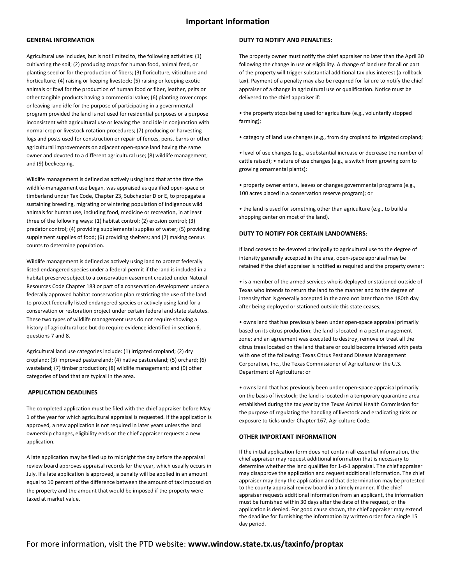#### Important Information

#### GENERAL INFORMATION

Agricultural use includes, but is not limited to, the following activities: (1) cultivating the soil; (2) producing crops for human food, animal feed, or planting seed or for the production of fibers; (3) floriculture, viticulture and horticulture; (4) raising or keeping livestock; (5) raising or keeping exotic animals or fowl for the production of human food or fiber, leather, pelts or other tangible products having a commercial value; (6) planting cover crops or leaving land idle for the purpose of participating in a governmental program provided the land is not used for residential purposes or a purpose inconsistent with agricultural use or leaving the land idle in conjunction with normal crop or livestock rotation procedures; (7) producing or harvesting logs and posts used for construction or repair of fences, pens, barns or other agricultural improvements on adjacent open-space land having the same owner and devoted to a different agricultural use; (8) wildlife management; and (9) beekeeping.

Wildlife management is defined as actively using land that at the time the wildlife-management use began, was appraised as qualified open-space or timberland under Tax Code, Chapter 23, Subchapter D or E, to propagate a sustaining breeding, migrating or wintering population of indigenous wild animals for human use, including food, medicine or recreation, in at least three of the following ways: (1) habitat control; (2) erosion control; (3) predator control; (4) providing supplemental supplies of water; (5) providing supplement supplies of food; (6) providing shelters; and (7) making census counts to determine population.

Wildlife management is defined as actively using land to protect federally listed endangered species under a federal permit if the land is included in a habitat preserve subject to a conservation easement created under Natural Resources Code Chapter 183 or part of a conservation development under a federally approved habitat conservation plan restricting the use of the land to protect federally listed endangered species or actively using land for a conservation or restoration project under certain federal and state statutes. These two types of wildlife management uses do not require showing a history of agricultural use but do require evidence identified in section 6, questions 7 and 8.

Agricultural land use categories include: (1) irrigated cropland; (2) dry cropland; (3) improved pastureland; (4) native pastureland; (5) orchard; (6) wasteland; (7) timber production; (8) wildlife management; and (9) other categories of land that are typical in the area.

#### APPLICATION DEADLINES

The completed application must be filed with the chief appraiser before May 1 of the year for which agricultural appraisal is requested. If the application is approved, a new application is not required in later years unless the land ownership changes, eligibility ends or the chief appraiser requests a new application.

A late application may be filed up to midnight the day before the appraisal review board approves appraisal records for the year, which usually occurs in July. If a late application is approved, a penalty will be applied in an amount equal to 10 percent of the difference between the amount of tax imposed on the property and the amount that would be imposed if the property were taxed at market value.

#### DUTY TO NOTIFY AND PENALTIES:

The property owner must notify the chief appraiser no later than the April 30 following the change in use or eligibility. A change of land use for all or part of the property will trigger substantial additional tax plus interest (a rollback tax). Payment of a penalty may also be required for failure to notify the chief appraiser of a change in agricultural use or qualification. Notice must be delivered to the chief appraiser if:

• the property stops being used for agriculture (e.g., voluntarily stopped farming);

• category of land use changes (e.g., from dry cropland to irrigated cropland;

• level of use changes (e.g., a substantial increase or decrease the number of cattle raised); • nature of use changes (e.g., a switch from growing corn to growing ornamental plants);

• property owner enters, leaves or changes governmental programs (e.g., 100 acres placed in a conservation reserve program); or

• the land is used for something other than agriculture (e.g., to build a shopping center on most of the land).

#### DUTY TO NOTIFY FOR CERTAIN LANDOWNERS:

If land ceases to be devoted principally to agricultural use to the degree of intensity generally accepted in the area, open-space appraisal may be retained if the chief appraiser is notified as required and the property owner:

• is a member of the armed services who is deployed or stationed outside of Texas who intends to return the land to the manner and to the degree of intensity that is generally accepted in the area not later than the 180th day after being deployed or stationed outside this state ceases;

• owns land that has previously been under open-space appraisal primarily based on its citrus production; the land is located in a pest management zone; and an agreement was executed to destroy, remove or treat all the citrus trees located on the land that are or could become infested with pests with one of the following: Texas Citrus Pest and Disease Management Corporation, Inc., the Texas Commissioner of Agriculture or the U.S. Department of Agriculture; or

• owns land that has previously been under open-space appraisal primarily on the basis of livestock; the land is located in a temporary quarantine area established during the tax year by the Texas Animal Health Commission for the purpose of regulating the handling of livestock and eradicating ticks or exposure to ticks under Chapter 167, Agriculture Code.

#### OTHER IMPORTANT INFORMATION

If the initial application form does not contain all essential information, the chief appraiser may request additional information that is necessary to determine whether the land qualifies for 1-d-1 appraisal. The chief appraiser may disapprove the application and request additional information. The chief appraiser may deny the application and that determination may be protested to the county appraisal review board in a timely manner. If the chief appraiser requests additional information from an applicant, the information must be furnished within 30 days after the date of the request, or the application is denied. For good cause shown, the chief appraiser may extend the deadline for furnishing the information by written order for a single 15 day period.

#### For more information, visit the PTD website: www.window.state.tx.us/taxinfo/proptax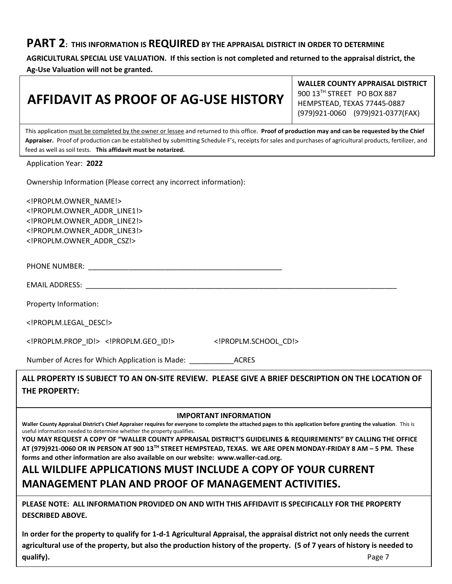### PART 2: THIS INFORMATION IS REQUIRED BY THE APPRAISAL DISTRICT IN ORDER TO DETERMINE

AGRICULTURAL SPECIAL USE VALUATION. If this section is not completed and returned to the appraisal district, the Ag-Use Valuation will not be granted.

# AFFIDAVIT AS PROOF OF AG-USE HISTORY

WALLER COUNTY APPRAISAL DISTRICT 900 13TH STREET PO BOX 887 HEMPSTEAD, TEXAS 77445-0887 (979)921-0060 (979)921-0377(FAX)

This application must be completed by the owner or lessee and returned to this office. Proof of production may and can be requested by the Chief Appraiser. Proof of production can be established by submitting Schedule F's, receipts for sales and purchases of agricultural products, fertilizer, and feed as well as soil tests. This affidavit must be notarized.

Application Year: 2022

Ownership Information (Please correct any incorrect information):

<!PROPLM.OWNER\_NAME!> <!PROPLM.OWNER\_ADDR\_LINE1!> <!PROPLM.OWNER\_ADDR\_LINE2!> <!PROPLM.OWNER\_ADDR\_LINE3!> <!PROPLM.OWNER\_ADDR\_CSZ!>

PHONE NUMBER: \_\_\_\_\_\_\_\_\_\_\_\_\_\_\_\_\_\_\_\_\_\_\_\_\_\_\_\_\_\_\_\_\_\_\_\_\_\_\_\_\_\_\_\_\_\_\_\_

EMAIL ADDRESS: \_\_\_\_\_\_\_\_\_\_\_\_\_\_\_\_\_\_\_\_\_\_\_\_\_\_\_\_\_\_\_\_\_\_\_\_\_\_\_\_\_\_\_\_\_\_\_\_\_\_\_\_\_\_\_\_\_\_\_\_\_\_\_\_\_\_\_\_\_\_\_\_\_\_\_\_\_

Property Information:

<!PROPLM.LEGAL\_DESC!>

<!PROPLM.PROP\_ID!> <!PROPLM.GEO\_ID!> <!PROPLM.SCHOOL\_CD!>

Number of Acres for Which Application is Made: \_\_\_\_\_\_\_\_\_\_\_ACRES

ALL PROPERTY IS SUBJECT TO AN ON-SITE REVIEW. PLEASE GIVE A BRIEF DESCRIPTION ON THE LOCATION OF THE PROPERTY:

#### IMPORTANT INFORMATION

Waller County Appraisal District's Chief Appraiser requires for everyone to complete the attached pages to this application before granting the valuation. This is useful information needed to determine whether the property qualifies.

YOU MAY REQUEST A COPY OF "WALLER COUNTY APPRAISAL DISTRICT'S GUIDELINES & REQUIREMENTS" BY CALLING THE OFFICE AT (979)921-0060 OR IN PERSON AT 900 13TH STREET HEMPSTEAD, TEXAS. WE ARE OPEN MONDAY-FRIDAY 8 AM – 5 PM. These forms and other information are also available on our website: www.waller-cad.org.

### ALL WILDLIFE APPLICATIONS MUST INCLUDE A COPY OF YOUR CURRENT MANAGEMENT PLAN AND PROOF OF MANAGEMENT ACTIVITIES.

PLEASE NOTE: ALL INFORMATION PROVIDED ON AND WITH THIS AFFIDAVIT IS SPECIFICALLY FOR THE PROPERTY DESCRIBED ABOVE.

In order for the property to qualify for 1-d-1 Agricultural Appraisal, the appraisal district not only needs the current agricultural use of the property, but also the production history of the property. (5 of 7 years of history is needed to qualify). Page 7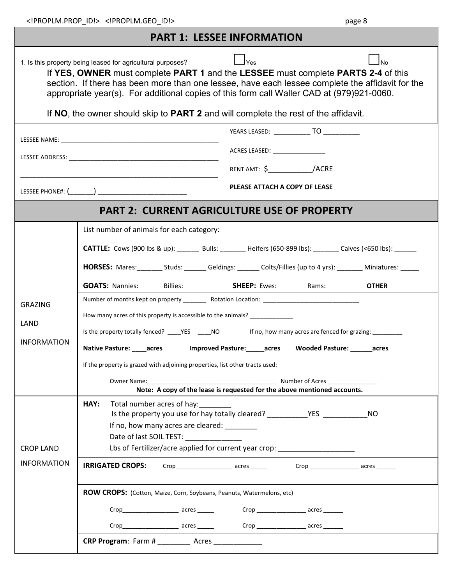| <b>PART 1: LESSEE INFORMATION</b>      |                                                                                                                                                                                                                                                                                                                                                                                                |  |  |  |  |  |  |
|----------------------------------------|------------------------------------------------------------------------------------------------------------------------------------------------------------------------------------------------------------------------------------------------------------------------------------------------------------------------------------------------------------------------------------------------|--|--|--|--|--|--|
|                                        | $\vert \ \vert_{\text{Yes}}$<br>$\Box$ No<br>1. Is this property being leased for agricultural purposes?<br>If YES, OWNER must complete PART 1 and the LESSEE must complete PARTS 2-4 of this<br>section. If there has been more than one lessee, have each lessee complete the affidavit for the<br>appropriate year(s). For additional copies of this form call Waller CAD at (979)921-0060. |  |  |  |  |  |  |
|                                        | If NO, the owner should skip to PART 2 and will complete the rest of the affidavit.                                                                                                                                                                                                                                                                                                            |  |  |  |  |  |  |
|                                        |                                                                                                                                                                                                                                                                                                                                                                                                |  |  |  |  |  |  |
|                                        |                                                                                                                                                                                                                                                                                                                                                                                                |  |  |  |  |  |  |
|                                        | RENT AMT: \$_____________/ACRE                                                                                                                                                                                                                                                                                                                                                                 |  |  |  |  |  |  |
|                                        | PLEASE ATTACH A COPY OF LEASE                                                                                                                                                                                                                                                                                                                                                                  |  |  |  |  |  |  |
|                                        | <b>PART 2: CURRENT AGRICULTURE USE OF PROPERTY</b>                                                                                                                                                                                                                                                                                                                                             |  |  |  |  |  |  |
|                                        | List number of animals for each category:                                                                                                                                                                                                                                                                                                                                                      |  |  |  |  |  |  |
|                                        | CATTLE: Cows (900 lbs & up): ______ Bulls: _______ Heifers (650-899 lbs): ______ Calves (<650 lbs): ______                                                                                                                                                                                                                                                                                     |  |  |  |  |  |  |
|                                        | HORSES: Mares: ________ Studs: _______ Geldings: _______ Colts/Fillies (up to 4 yrs): _______ Miniatures: _____                                                                                                                                                                                                                                                                                |  |  |  |  |  |  |
|                                        | <b>GOATS:</b> Nannies: Billies: SHEEP: Ewes:<br>Rams: and the same of the same of the same of the same of the same of the same of the same of the same of the s<br><b>OTHER</b>                                                                                                                                                                                                                |  |  |  |  |  |  |
| <b>GRAZING</b>                         | Number of months kept on property ____________ Rotation Location: __________________________________                                                                                                                                                                                                                                                                                           |  |  |  |  |  |  |
| LAND                                   | How many acres of this property is accessible to the animals? __________________                                                                                                                                                                                                                                                                                                               |  |  |  |  |  |  |
| <b>INFORMATION</b>                     | Is the property totally fenced? _____YES ______NO fino, how many acres are fenced for grazing: ___________                                                                                                                                                                                                                                                                                     |  |  |  |  |  |  |
|                                        | Native Pasture: _____acres dimproved Pasture: ______acres Wooded Pasture: ______acres                                                                                                                                                                                                                                                                                                          |  |  |  |  |  |  |
|                                        | If the property is grazed with adjoining properties, list other tracts used:<br>Owner Name: Manual Mumber of Acres Mumber of Acres Mumber of Acres Mumber of Acres Mumber of Acres Mumber of Acres Mumber of Acres Mumber of Acres Mumber of Acres Mumber of Acres Mumber of Acres Mumber of Acres Mumber of A                                                                                 |  |  |  |  |  |  |
|                                        | Note: A copy of the lease is requested for the above mentioned accounts.                                                                                                                                                                                                                                                                                                                       |  |  |  |  |  |  |
| <b>CROP LAND</b><br><b>INFORMATION</b> | HAY:<br>Total number acres of hay:<br>Is the property you use for hay totally cleared? _______________________________<br><b>NO</b><br>If no, how many acres are cleared:                                                                                                                                                                                                                      |  |  |  |  |  |  |
|                                        | Date of last SOIL TEST:<br>Lbs of Fertilizer/acre applied for current year crop: ____________________                                                                                                                                                                                                                                                                                          |  |  |  |  |  |  |
|                                        | <b>IRRIGATED CROPS:</b>                                                                                                                                                                                                                                                                                                                                                                        |  |  |  |  |  |  |
|                                        | ROW CROPS: (Cotton, Maize, Corn, Soybeans, Peanuts, Watermelons, etc)                                                                                                                                                                                                                                                                                                                          |  |  |  |  |  |  |
|                                        |                                                                                                                                                                                                                                                                                                                                                                                                |  |  |  |  |  |  |
|                                        |                                                                                                                                                                                                                                                                                                                                                                                                |  |  |  |  |  |  |
|                                        | <b>CRP Program:</b> Farm # ____________ Acres _______________                                                                                                                                                                                                                                                                                                                                  |  |  |  |  |  |  |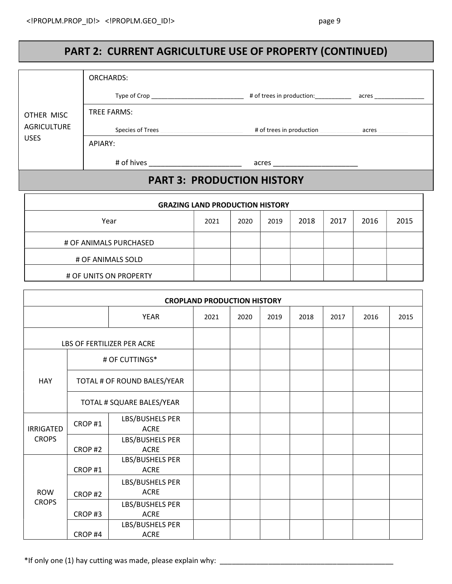### PART 2: CURRENT AGRICULTURE USE OF PROPERTY (CONTINUED)

|                        | <b>ORCHARDS:</b>            |                                   |                                        |      |      |      |      |       |      |  |
|------------------------|-----------------------------|-----------------------------------|----------------------------------------|------|------|------|------|-------|------|--|
|                        |                             |                                   |                                        |      |      |      |      |       |      |  |
| OTHER MISC             |                             | <b>TREE FARMS:</b>                |                                        |      |      |      |      |       |      |  |
| <b>AGRICULTURE</b>     |                             | Species of Trees                  | # of trees in production               |      |      |      |      | acres |      |  |
| <b>USES</b>            | APIARY:                     |                                   |                                        |      |      |      |      |       |      |  |
|                        |                             |                                   |                                        |      |      |      |      |       |      |  |
|                        |                             | <b>PART 3: PRODUCTION HISTORY</b> |                                        |      |      |      |      |       |      |  |
|                        |                             |                                   | <b>GRAZING LAND PRODUCTION HISTORY</b> |      |      |      |      |       |      |  |
|                        |                             | Year                              | 2021                                   | 2020 | 2019 | 2018 | 2017 | 2016  | 2015 |  |
| # OF ANIMALS PURCHASED |                             |                                   |                                        |      |      |      |      |       |      |  |
| # OF ANIMALS SOLD      |                             |                                   |                                        |      |      |      |      |       |      |  |
|                        |                             | # OF UNITS ON PROPERTY            |                                        |      |      |      |      |       |      |  |
|                        |                             |                                   |                                        |      |      |      |      |       |      |  |
|                        |                             |                                   | <b>CROPLAND PRODUCTION HISTORY</b>     |      |      |      |      |       |      |  |
| YEAR                   |                             | 2021                              | 2020                                   | 2019 | 2018 | 2017 | 2016 | 2015  |      |  |
|                        |                             | LBS OF FERTILIZER PER ACRE        |                                        |      |      |      |      |       |      |  |
|                        |                             | # OF CUTTINGS*                    |                                        |      |      |      |      |       |      |  |
| <b>HAY</b>             | TOTAL # OF ROUND BALES/YEAR |                                   |                                        |      |      |      |      |       |      |  |
|                        |                             | TOTAL # SQUARE BALES/YEAR         |                                        |      |      |      |      |       |      |  |
| <b>IRRIGATED</b>       | CROP#1                      | LBS/BUSHELS PER<br><b>ACRE</b>    |                                        |      |      |      |      |       |      |  |
| <b>CROPS</b>           | CROP#2                      | LBS/BUSHELS PER<br>ACRE           |                                        |      |      |      |      |       |      |  |
|                        | CROP#1                      | LBS/BUSHELS PER<br>ACRE           |                                        |      |      |      |      |       |      |  |

\*If only one (1) hay cutting was made, please explain why:

LBS/BUSHELS PER ACRE

LBS/BUSHELS PER ACRE

LBS/BUSHELS PER ACRE

ROW CROPS

CROP #2

CROP #3

CROP #4